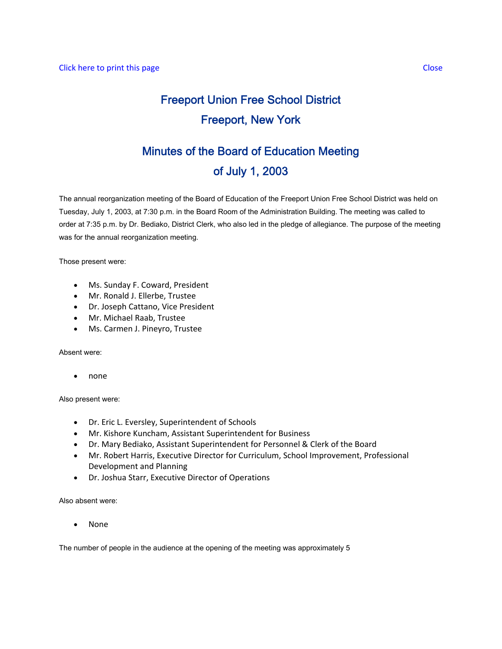# Freeport Union Free School District Freeport, New York

# Minutes of the Board of Education Meeting of July 1, 2003

The annual reorganization meeting of the Board of Education of the Freeport Union Free School District was held on Tuesday, July 1, 2003, at 7:30 p.m. in the Board Room of the Administration Building. The meeting was called to order at 7:35 p.m. by Dr. Bediako, District Clerk, who also led in the pledge of allegiance. The purpose of the meeting was for the annual reorganization meeting.

Those present were:

- Ms. Sunday F. Coward, President
- Mr. Ronald J. Ellerbe, Trustee
- Dr. Joseph Cattano, Vice President
- Mr. Michael Raab, Trustee
- Ms. Carmen J. Pineyro, Trustee

Absent were:

• none

Also present were:

- Dr. Eric L. Eversley, Superintendent of Schools
- Mr. Kishore Kuncham, Assistant Superintendent for Business
- Dr. Mary Bediako, Assistant Superintendent for Personnel & Clerk of the Board
- Mr. Robert Harris, Executive Director for Curriculum, School Improvement, Professional Development and Planning
- Dr. Joshua Starr, Executive Director of Operations

Also absent were:

• None

The number of people in the audience at the opening of the meeting was approximately 5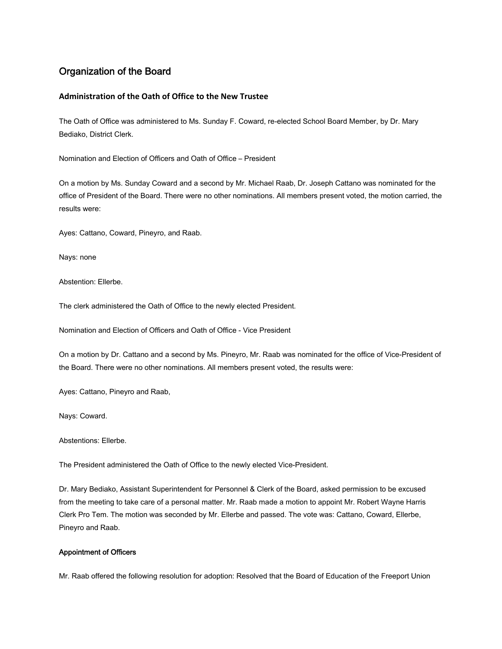# Organization of the Board

## **Administration of the Oath of Office to the New Trustee**

The Oath of Office was administered to Ms. Sunday F. Coward, re-elected School Board Member, by Dr. Mary Bediako, District Clerk.

Nomination and Election of Officers and Oath of Office – President

On a motion by Ms. Sunday Coward and a second by Mr. Michael Raab, Dr. Joseph Cattano was nominated for the office of President of the Board. There were no other nominations. All members present voted, the motion carried, the results were:

Ayes: Cattano, Coward, Pineyro, and Raab.

Nays: none

Abstention: Ellerbe.

The clerk administered the Oath of Office to the newly elected President.

Nomination and Election of Officers and Oath of Office - Vice President

On a motion by Dr. Cattano and a second by Ms. Pineyro, Mr. Raab was nominated for the office of Vice-President of the Board. There were no other nominations. All members present voted, the results were:

Ayes: Cattano, Pineyro and Raab,

Nays: Coward.

Abstentions: Ellerbe.

The President administered the Oath of Office to the newly elected Vice-President.

Dr. Mary Bediako, Assistant Superintendent for Personnel & Clerk of the Board, asked permission to be excused from the meeting to take care of a personal matter. Mr. Raab made a motion to appoint Mr. Robert Wayne Harris Clerk Pro Tem. The motion was seconded by Mr. Ellerbe and passed. The vote was: Cattano, Coward, Ellerbe, Pineyro and Raab.

#### Appointment of Officers

Mr. Raab offered the following resolution for adoption: Resolved that the Board of Education of the Freeport Union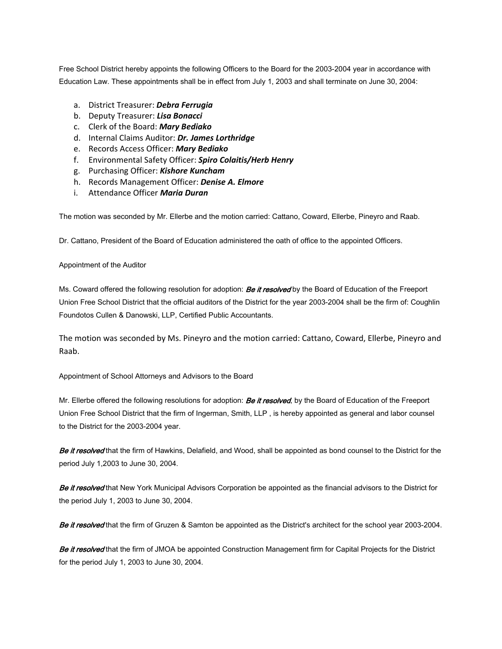Free School District hereby appoints the following Officers to the Board for the 2003-2004 year in accordance with Education Law. These appointments shall be in effect from July 1, 2003 and shall terminate on June 30, 2004:

- a. District Treasurer: *Debra Ferrugia*
- b. Deputy Treasurer: *Lisa Bonacci*
- c. Clerk of the Board: *Mary Bediako*
- d. Internal Claims Auditor: *Dr. James Lorthridge*
- e. Records Access Officer: *Mary Bediako*
- f. Environmental Safety Officer: *Spiro Colaitis/Herb Henry*
- g. Purchasing Officer: *Kishore Kuncham*
- h. Records Management Officer: *Denise A. Elmore*
- i. Attendance Officer *Maria Duran*

The motion was seconded by Mr. Ellerbe and the motion carried: Cattano, Coward, Ellerbe, Pineyro and Raab.

Dr. Cattano, President of the Board of Education administered the oath of office to the appointed Officers.

#### Appointment of the Auditor

Ms. Coward offered the following resolution for adoption: **Be it resolved** by the Board of Education of the Freeport Union Free School District that the official auditors of the District for the year 2003-2004 shall be the firm of: Coughlin Foundotos Cullen & Danowski, LLP, Certified Public Accountants.

The motion was seconded by Ms. Pineyro and the motion carried: Cattano, Coward, Ellerbe, Pineyro and Raab.

Appointment of School Attorneys and Advisors to the Board

Mr. Ellerbe offered the following resolutions for adoption: **Be it resolved**, by the Board of Education of the Freeport Union Free School District that the firm of Ingerman, Smith, LLP , is hereby appointed as general and labor counsel to the District for the 2003-2004 year.

Be it resolved that the firm of Hawkins, Delafield, and Wood, shall be appointed as bond counsel to the District for the period July 1,2003 to June 30, 2004.

Be it resolved that New York Municipal Advisors Corporation be appointed as the financial advisors to the District for the period July 1, 2003 to June 30, 2004.

Be it resolved that the firm of Gruzen & Samton be appointed as the District's architect for the school year 2003-2004.

Be it resolved that the firm of JMOA be appointed Construction Management firm for Capital Projects for the District for the period July 1, 2003 to June 30, 2004.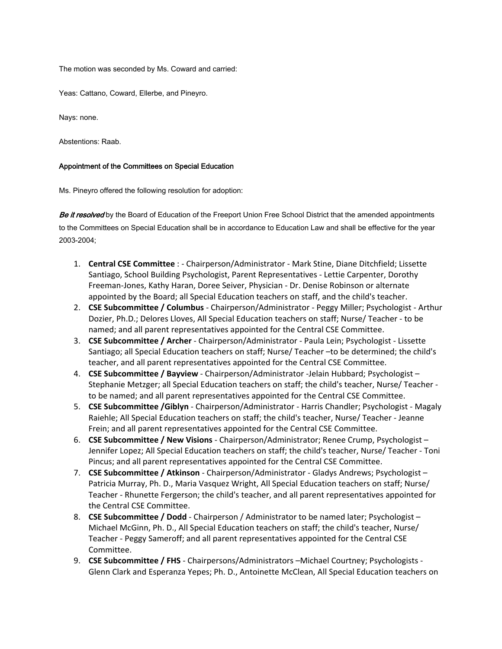The motion was seconded by Ms. Coward and carried:

Yeas: Cattano, Coward, Ellerbe, and Pineyro.

Nays: none.

Abstentions: Raab.

#### Appointment of the Committees on Special Education

Ms. Pineyro offered the following resolution for adoption:

Be it resolved by the Board of Education of the Freeport Union Free School District that the amended appointments to the Committees on Special Education shall be in accordance to Education Law and shall be effective for the year 2003-2004;

- 1. **Central CSE Committee** : ‐ Chairperson/Administrator ‐ Mark Stine, Diane Ditchfield; Lissette Santiago, School Building Psychologist, Parent Representatives ‐ Lettie Carpenter, Dorothy Freeman‐Jones, Kathy Haran, Doree Seiver, Physician ‐ Dr. Denise Robinson or alternate appointed by the Board; all Special Education teachers on staff, and the child's teacher.
- 2. **CSE Subcommittee / Columbus** ‐ Chairperson/Administrator ‐ Peggy Miller; Psychologist ‐ Arthur Dozier, Ph.D.; Delores Lloves, All Special Education teachers on staff; Nurse/ Teacher ‐ to be named; and all parent representatives appointed for the Central CSE Committee.
- 3. **CSE Subcommittee / Archer** ‐ Chairperson/Administrator ‐ Paula Lein; Psychologist ‐ Lissette Santiago; all Special Education teachers on staff; Nurse/ Teacher –to be determined; the child's teacher, and all parent representatives appointed for the Central CSE Committee.
- 4. **CSE Subcommittee / Bayview** ‐ Chairperson/Administrator ‐Jelain Hubbard; Psychologist Stephanie Metzger; all Special Education teachers on staff; the child's teacher, Nurse/ Teacher ‐ to be named; and all parent representatives appointed for the Central CSE Committee.
- 5. **CSE Subcommittee /Giblyn** ‐ Chairperson/Administrator ‐ Harris Chandler; Psychologist ‐ Magaly Raiehle; All Special Education teachers on staff; the child's teacher, Nurse/ Teacher ‐ Jeanne Frein; and all parent representatives appointed for the Central CSE Committee.
- 6. **CSE Subcommittee / New Visions** ‐ Chairperson/Administrator; Renee Crump, Psychologist Jennifer Lopez; All Special Education teachers on staff; the child's teacher, Nurse/ Teacher ‐ Toni Pincus; and all parent representatives appointed for the Central CSE Committee.
- 7. **CSE Subcommittee / Atkinson** ‐ Chairperson/Administrator ‐ Gladys Andrews; Psychologist Patricia Murray, Ph. D., Maria Vasquez Wright, All Special Education teachers on staff; Nurse/ Teacher ‐ Rhunette Fergerson; the child's teacher, and all parent representatives appointed for the Central CSE Committee.
- 8. **CSE Subcommittee / Dodd** ‐ Chairperson / Administrator to be named later; Psychologist Michael McGinn, Ph. D., All Special Education teachers on staff; the child's teacher, Nurse/ Teacher ‐ Peggy Sameroff; and all parent representatives appointed for the Central CSE Committee.
- 9. **CSE Subcommittee / FHS** ‐ Chairpersons/Administrators –Michael Courtney; Psychologists ‐ Glenn Clark and Esperanza Yepes; Ph. D., Antoinette McClean, All Special Education teachers on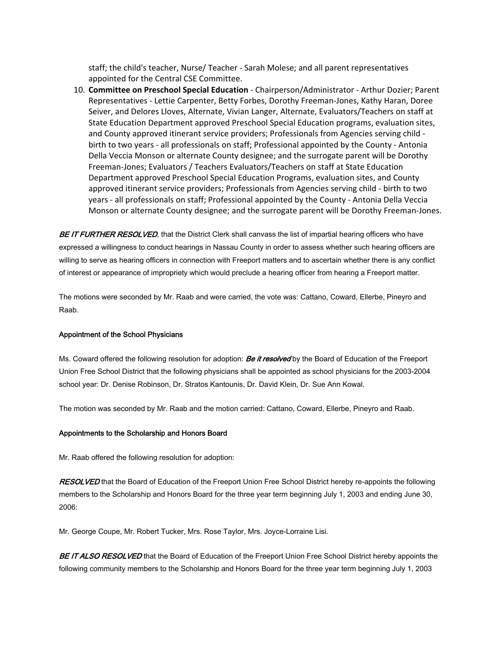staff; the child's teacher, Nurse/ Teacher ‐ Sarah Molese; and all parent representatives appointed for the Central CSE Committee.

10. **Committee on Preschool Special Education** ‐ Chairperson/Administrator ‐ Arthur Dozier; Parent Representatives ‐ Lettie Carpenter, Betty Forbes, Dorothy Freeman‐Jones, Kathy Haran, Doree Seiver, and Delores Lloves, Alternate, Vivian Langer, Alternate, Evaluators/Teachers on staff at State Education Department approved Preschool Special Education programs, evaluation sites, and County approved itinerant service providers; Professionals from Agencies serving child ‐ birth to two years ‐ all professionals on staff; Professional appointed by the County ‐ Antonia Della Veccia Monson or alternate County designee; and the surrogate parent will be Dorothy Freeman‐Jones; Evaluators / Teachers Evaluators/Teachers on staff at State Education Department approved Preschool Special Education Programs, evaluation sites, and County approved itinerant service providers; Professionals from Agencies serving child ‐ birth to two years ‐ all professionals on staff; Professional appointed by the County ‐ Antonia Della Veccia Monson or alternate County designee; and the surrogate parent will be Dorothy Freeman‐Jones.

BE IT FURTHER RESOLVED, that the District Clerk shall canvass the list of impartial hearing officers who have expressed a willingness to conduct hearings in Nassau County in order to assess whether such hearing officers are willing to serve as hearing officers in connection with Freeport matters and to ascertain whether there is any conflict of interest or appearance of impropriety which would preclude a hearing officer from hearing a Freeport matter.

The motions were seconded by Mr. Raab and were carried, the vote was: Cattano, Coward, Ellerbe, Pineyro and Raab.

#### Appointment of the School Physicians

Ms. Coward offered the following resolution for adoption: **Be it resolved** by the Board of Education of the Freeport Union Free School District that the following physicians shall be appointed as school physicians for the 2003-2004 school year: Dr. Denise Robinson, Dr. Stratos Kantounis, Dr. David Klein, Dr. Sue Ann Kowal.

The motion was seconded by Mr. Raab and the motion carried: Cattano, Coward, Ellerbe, Pineyro and Raab.

#### Appointments to the Scholarship and Honors Board

Mr. Raab offered the following resolution for adoption:

RESOLVED that the Board of Education of the Freeport Union Free School District hereby re-appoints the following members to the Scholarship and Honors Board for the three year term beginning July 1, 2003 and ending June 30, 2006:

Mr. George Coupe, Mr. Robert Tucker, Mrs. Rose Taylor, Mrs. Joyce-Lorraine Lisi.

BE IT ALSO RESOLVED that the Board of Education of the Freeport Union Free School District hereby appoints the following community members to the Scholarship and Honors Board for the three year term beginning July 1, 2003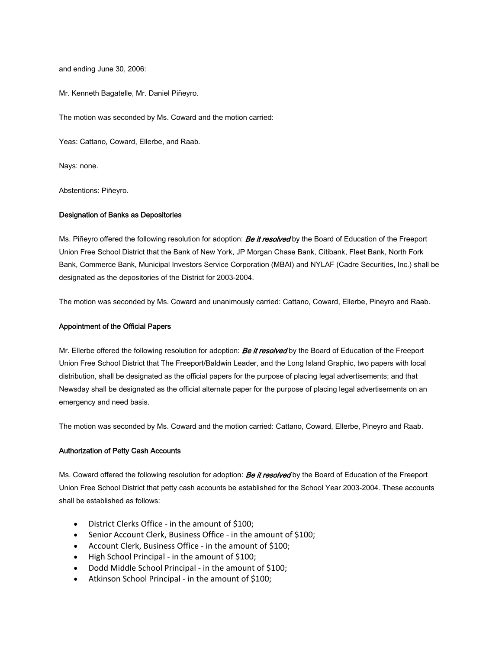and ending June 30, 2006:

Mr. Kenneth Bagatelle, Mr. Daniel Piñeyro.

The motion was seconded by Ms. Coward and the motion carried:

Yeas: Cattano, Coward, Ellerbe, and Raab.

Nays: none.

Abstentions: Piñeyro.

#### Designation of Banks as Depositories

Ms. Piñeyro offered the following resolution for adoption: **Be it resolved** by the Board of Education of the Freeport Union Free School District that the Bank of New York, JP Morgan Chase Bank, Citibank, Fleet Bank, North Fork Bank, Commerce Bank, Municipal Investors Service Corporation (MBAI) and NYLAF (Cadre Securities, Inc.) shall be designated as the depositories of the District for 2003-2004.

The motion was seconded by Ms. Coward and unanimously carried: Cattano, Coward, Ellerbe, Pineyro and Raab.

#### Appointment of the Official Papers

Mr. Ellerbe offered the following resolution for adoption: **Be it resolved** by the Board of Education of the Freeport Union Free School District that The Freeport/Baldwin Leader, and the Long Island Graphic, two papers with local distribution, shall be designated as the official papers for the purpose of placing legal advertisements; and that Newsday shall be designated as the official alternate paper for the purpose of placing legal advertisements on an emergency and need basis.

The motion was seconded by Ms. Coward and the motion carried: Cattano, Coward, Ellerbe, Pineyro and Raab.

#### Authorization of Petty Cash Accounts

Ms. Coward offered the following resolution for adoption: **Be it resolved** by the Board of Education of the Freeport Union Free School District that petty cash accounts be established for the School Year 2003-2004. These accounts shall be established as follows:

- District Clerks Office in the amount of \$100;
- Senior Account Clerk, Business Office in the amount of \$100;
- Account Clerk, Business Office in the amount of \$100;
- High School Principal in the amount of \$100;
- Dodd Middle School Principal in the amount of \$100;
- Atkinson School Principal in the amount of \$100;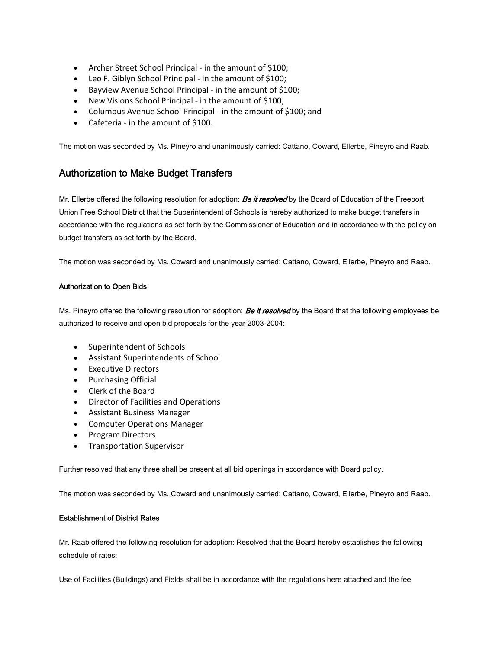- Archer Street School Principal in the amount of \$100;
- Leo F. Giblyn School Principal in the amount of \$100;
- Bayview Avenue School Principal ‐ in the amount of \$100;
- New Visions School Principal ‐ in the amount of \$100;
- Columbus Avenue School Principal in the amount of \$100; and
- Cafeteria in the amount of \$100.

The motion was seconded by Ms. Pineyro and unanimously carried: Cattano, Coward, Ellerbe, Pineyro and Raab.

# Authorization to Make Budget Transfers

Mr. Ellerbe offered the following resolution for adoption: **Be it resolved** by the Board of Education of the Freeport Union Free School District that the Superintendent of Schools is hereby authorized to make budget transfers in accordance with the regulations as set forth by the Commissioner of Education and in accordance with the policy on budget transfers as set forth by the Board.

The motion was seconded by Ms. Coward and unanimously carried: Cattano, Coward, Ellerbe, Pineyro and Raab.

## Authorization to Open Bids

Ms. Pineyro offered the following resolution for adoption: **Be it resolved** by the Board that the following employees be authorized to receive and open bid proposals for the year 2003-2004:

- Superintendent of Schools
- Assistant Superintendents of School
- Executive Directors
- Purchasing Official
- Clerk of the Board
- Director of Facilities and Operations
- Assistant Business Manager
- Computer Operations Manager
- Program Directors
- Transportation Supervisor

Further resolved that any three shall be present at all bid openings in accordance with Board policy.

The motion was seconded by Ms. Coward and unanimously carried: Cattano, Coward, Ellerbe, Pineyro and Raab.

## Establishment of District Rates

Mr. Raab offered the following resolution for adoption: Resolved that the Board hereby establishes the following schedule of rates:

Use of Facilities (Buildings) and Fields shall be in accordance with the regulations here attached and the fee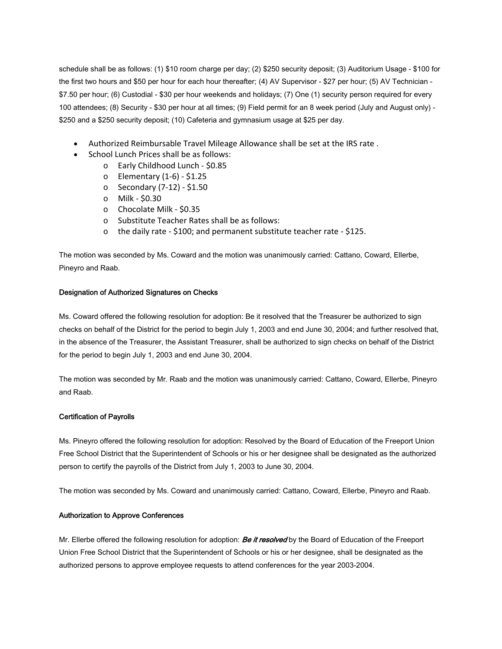schedule shall be as follows: (1) \$10 room charge per day; (2) \$250 security deposit; (3) Auditorium Usage - \$100 for the first two hours and \$50 per hour for each hour thereafter; (4) AV Supervisor - \$27 per hour; (5) AV Technician - \$7.50 per hour; (6) Custodial - \$30 per hour weekends and holidays; (7) One (1) security person required for every 100 attendees; (8) Security - \$30 per hour at all times; (9) Field permit for an 8 week period (July and August only) - \$250 and a \$250 security deposit; (10) Cafeteria and gymnasium usage at \$25 per day.

- Authorized Reimbursable Travel Mileage Allowance shall be set at the IRS rate .
- School Lunch Prices shall be as follows:
	- o Early Childhood Lunch ‐ \$0.85
	- o Elementary (1‐6) ‐ \$1.25
	- o Secondary (7‐12) ‐ \$1.50
	- o Milk ‐ \$0.30
	- o Chocolate Milk ‐ \$0.35
	- o Substitute Teacher Rates shall be as follows:
	- o the daily rate ‐ \$100; and permanent substitute teacher rate ‐ \$125.

The motion was seconded by Ms. Coward and the motion was unanimously carried: Cattano, Coward, Ellerbe, Pineyro and Raab.

#### Designation of Authorized Signatures on Checks

Ms. Coward offered the following resolution for adoption: Be it resolved that the Treasurer be authorized to sign checks on behalf of the District for the period to begin July 1, 2003 and end June 30, 2004; and further resolved that, in the absence of the Treasurer, the Assistant Treasurer, shall be authorized to sign checks on behalf of the District for the period to begin July 1, 2003 and end June 30, 2004.

The motion was seconded by Mr. Raab and the motion was unanimously carried: Cattano, Coward, Ellerbe, Pineyro and Raab.

#### Certification of Payrolls

Ms. Pineyro offered the following resolution for adoption: Resolved by the Board of Education of the Freeport Union Free School District that the Superintendent of Schools or his or her designee shall be designated as the authorized person to certify the payrolls of the District from July 1, 2003 to June 30, 2004.

The motion was seconded by Ms. Coward and unanimously carried: Cattano, Coward, Ellerbe, Pineyro and Raab.

#### Authorization to Approve Conferences

Mr. Ellerbe offered the following resolution for adoption: **Be it resolved** by the Board of Education of the Freeport Union Free School District that the Superintendent of Schools or his or her designee, shall be designated as the authorized persons to approve employee requests to attend conferences for the year 2003-2004.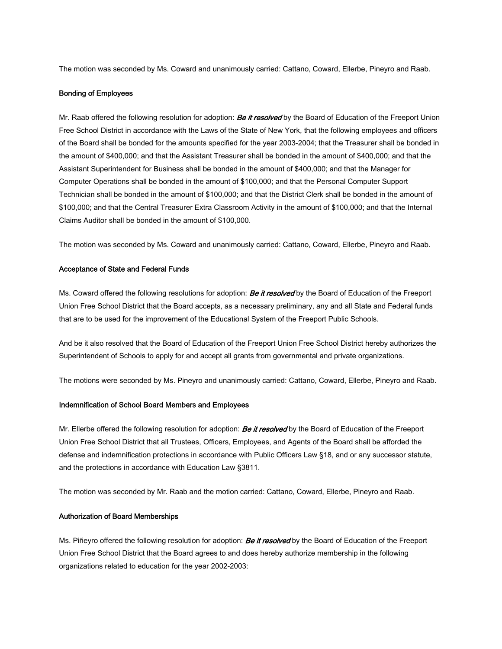The motion was seconded by Ms. Coward and unanimously carried: Cattano, Coward, Ellerbe, Pineyro and Raab.

#### Bonding of Employees

Mr. Raab offered the following resolution for adoption: **Be it resolved** by the Board of Education of the Freeport Union Free School District in accordance with the Laws of the State of New York, that the following employees and officers of the Board shall be bonded for the amounts specified for the year 2003-2004; that the Treasurer shall be bonded in the amount of \$400,000; and that the Assistant Treasurer shall be bonded in the amount of \$400,000; and that the Assistant Superintendent for Business shall be bonded in the amount of \$400,000; and that the Manager for Computer Operations shall be bonded in the amount of \$100,000; and that the Personal Computer Support Technician shall be bonded in the amount of \$100,000; and that the District Clerk shall be bonded in the amount of \$100,000; and that the Central Treasurer Extra Classroom Activity in the amount of \$100,000; and that the Internal Claims Auditor shall be bonded in the amount of \$100,000.

The motion was seconded by Ms. Coward and unanimously carried: Cattano, Coward, Ellerbe, Pineyro and Raab.

#### Acceptance of State and Federal Funds

Ms. Coward offered the following resolutions for adoption: **Be it resolved** by the Board of Education of the Freeport Union Free School District that the Board accepts, as a necessary preliminary, any and all State and Federal funds that are to be used for the improvement of the Educational System of the Freeport Public Schools.

And be it also resolved that the Board of Education of the Freeport Union Free School District hereby authorizes the Superintendent of Schools to apply for and accept all grants from governmental and private organizations.

The motions were seconded by Ms. Pineyro and unanimously carried: Cattano, Coward, Ellerbe, Pineyro and Raab.

#### Indemnification of School Board Members and Employees

Mr. Ellerbe offered the following resolution for adoption: **Be it resolved** by the Board of Education of the Freeport Union Free School District that all Trustees, Officers, Employees, and Agents of the Board shall be afforded the defense and indemnification protections in accordance with Public Officers Law §18, and or any successor statute, and the protections in accordance with Education Law §3811.

The motion was seconded by Mr. Raab and the motion carried: Cattano, Coward, Ellerbe, Pineyro and Raab.

#### Authorization of Board Memberships

Ms. Piñeyro offered the following resolution for adoption: **Be it resolved** by the Board of Education of the Freeport Union Free School District that the Board agrees to and does hereby authorize membership in the following organizations related to education for the year 2002-2003: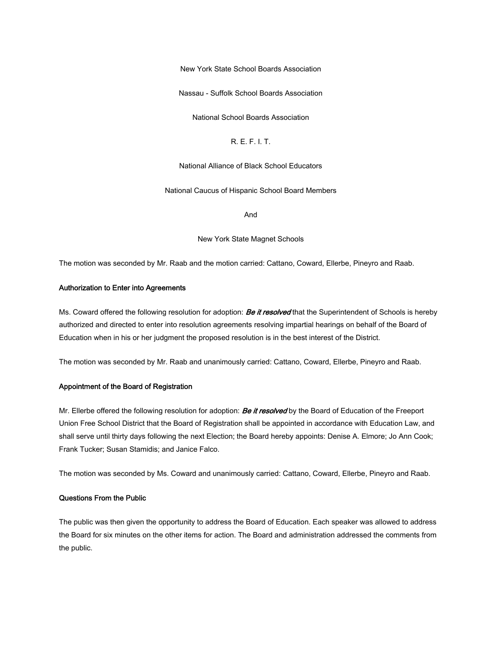New York State School Boards Association

Nassau - Suffolk School Boards Association

National School Boards Association

R. E. F. I. T.

National Alliance of Black School Educators

National Caucus of Hispanic School Board Members

And

New York State Magnet Schools

The motion was seconded by Mr. Raab and the motion carried: Cattano, Coward, Ellerbe, Pineyro and Raab.

#### Authorization to Enter into Agreements

Ms. Coward offered the following resolution for adoption: **Be it resolved** that the Superintendent of Schools is hereby authorized and directed to enter into resolution agreements resolving impartial hearings on behalf of the Board of Education when in his or her judgment the proposed resolution is in the best interest of the District.

The motion was seconded by Mr. Raab and unanimously carried: Cattano, Coward, Ellerbe, Pineyro and Raab.

#### Appointment of the Board of Registration

Mr. Ellerbe offered the following resolution for adoption: **Be it resolved** by the Board of Education of the Freeport Union Free School District that the Board of Registration shall be appointed in accordance with Education Law, and shall serve until thirty days following the next Election; the Board hereby appoints: Denise A. Elmore; Jo Ann Cook; Frank Tucker; Susan Stamidis; and Janice Falco.

The motion was seconded by Ms. Coward and unanimously carried: Cattano, Coward, Ellerbe, Pineyro and Raab.

#### Questions From the Public

The public was then given the opportunity to address the Board of Education. Each speaker was allowed to address the Board for six minutes on the other items for action. The Board and administration addressed the comments from the public.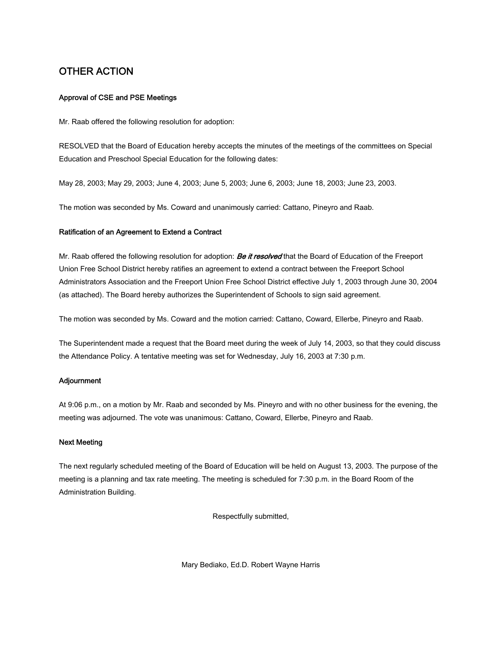# OTHER ACTION

### Approval of CSE and PSE Meetings

Mr. Raab offered the following resolution for adoption:

RESOLVED that the Board of Education hereby accepts the minutes of the meetings of the committees on Special Education and Preschool Special Education for the following dates:

May 28, 2003; May 29, 2003; June 4, 2003; June 5, 2003; June 6, 2003; June 18, 2003; June 23, 2003.

The motion was seconded by Ms. Coward and unanimously carried: Cattano, Pineyro and Raab.

#### Ratification of an Agreement to Extend a Contract

Mr. Raab offered the following resolution for adoption: **Be it resolved** that the Board of Education of the Freeport Union Free School District hereby ratifies an agreement to extend a contract between the Freeport School Administrators Association and the Freeport Union Free School District effective July 1, 2003 through June 30, 2004 (as attached). The Board hereby authorizes the Superintendent of Schools to sign said agreement.

The motion was seconded by Ms. Coward and the motion carried: Cattano, Coward, Ellerbe, Pineyro and Raab.

The Superintendent made a request that the Board meet during the week of July 14, 2003, so that they could discuss the Attendance Policy. A tentative meeting was set for Wednesday, July 16, 2003 at 7:30 p.m.

#### Adjournment

At 9:06 p.m., on a motion by Mr. Raab and seconded by Ms. Pineyro and with no other business for the evening, the meeting was adjourned. The vote was unanimous: Cattano, Coward, Ellerbe, Pineyro and Raab.

### Next Meeting

The next regularly scheduled meeting of the Board of Education will be held on August 13, 2003. The purpose of the meeting is a planning and tax rate meeting. The meeting is scheduled for 7:30 p.m. in the Board Room of the Administration Building.

Respectfully submitted,

Mary Bediako, Ed.D. Robert Wayne Harris